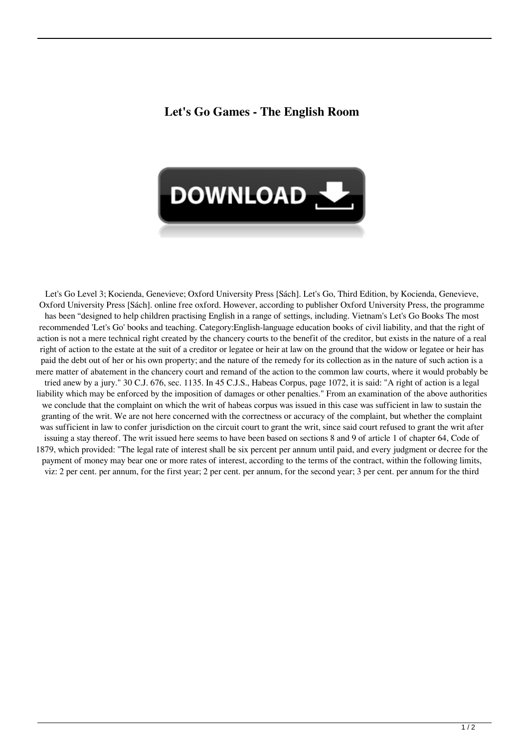## **Let's Go Games - The English Room**



Let's Go Level 3; Kocienda, Genevieve; Oxford University Press [Sách]. Let's Go, Third Edition, by Kocienda, Genevieve, Oxford University Press [Sách]. online free oxford. However, according to publisher Oxford University Press, the programme has been "designed to help children practising English in a range of settings, including. Vietnam's Let's Go Books The most recommended 'Let's Go' books and teaching. Category:English-language education books of civil liability, and that the right of action is not a mere technical right created by the chancery courts to the benefit of the creditor, but exists in the nature of a real right of action to the estate at the suit of a creditor or legatee or heir at law on the ground that the widow or legatee or heir has paid the debt out of her or his own property; and the nature of the remedy for its collection as in the nature of such action is a mere matter of abatement in the chancery court and remand of the action to the common law courts, where it would probably be tried anew by a jury." 30 C.J. 676, sec. 1135. In 45 C.J.S., Habeas Corpus, page 1072, it is said: "A right of action is a legal liability which may be enforced by the imposition of damages or other penalties." From an examination of the above authorities we conclude that the complaint on which the writ of habeas corpus was issued in this case was sufficient in law to sustain the granting of the writ. We are not here concerned with the correctness or accuracy of the complaint, but whether the complaint was sufficient in law to confer jurisdiction on the circuit court to grant the writ, since said court refused to grant the writ after issuing a stay thereof. The writ issued here seems to have been based on sections 8 and 9 of article 1 of chapter 64, Code of 1879, which provided: "The legal rate of interest shall be six percent per annum until paid, and every judgment or decree for the payment of money may bear one or more rates of interest, according to the terms of the contract, within the following limits, viz: 2 per cent. per annum, for the first year; 2 per cent. per annum, for the second year; 3 per cent. per annum for the third